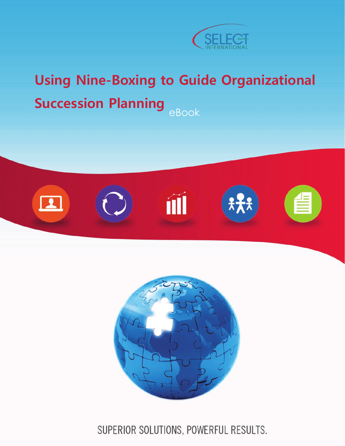

## eBook **Using Nine-Boxing to Guide Organizational Succession Planning**





SUPERIOR SOLUTIONS, POWERFUL RESULTS.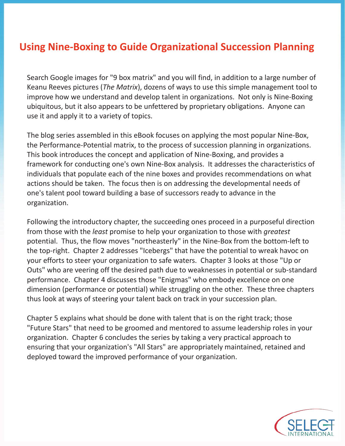## **Using Nine-Boxing to Guide Organizational Succession Planning**

Search Google images for "9 box matrix" and you will find, in addition to a large number of Keanu Reeves pictures (*The Matrix*), dozens of ways to use this simple management tool to improve how we understand and develop talent in organizations. Not only is Nine-Boxing ubiquitous, but it also appears to be unfettered by proprietary obligations. Anyone can use it and apply it to a variety of topics.

The blog series assembled in this eBook focuses on applying the most popular Nine-Box, the Performance-Potential matrix, to the process of succession planning in organizations. This book introduces the concept and application of Nine-Boxing, and provides a framework for conducting one's own Nine-Box analysis. It addresses the characteristics of individuals that populate each of the nine boxes and provides recommendations on what actions should be taken. The focus then is on addressing the developmental needs of one's talent pool toward building a base of successors ready to advance in the organization.

Following the introductory chapter, the succeeding ones proceed in a purposeful direction from those with the *least* promise to help your organization to those with *greatest* potential. Thus, the flow moves "northeasterly" in the Nine-Box from the bottom-left to the top-right. Chapter 2 addresses "Icebergs" that have the potential to wreak havoc on your efforts to steer your organization to safe waters. Chapter 3 looks at those "Up or Outs" who are veering off the desired path due to weaknesses in potential or sub-standard performance. Chapter 4 discusses those "Enigmas" who embody excellence on one dimension (performance or potential) while struggling on the other. These three chapters thus look at ways of steering your talent back on track in your succession plan.

Chapter 5 explains what should be done with talent that is on the right track; those "Future Stars" that need to be groomed and mentored to assume leadership roles in your organization. Chapter 6 concludes the series by taking a very practical approach to ensuring that your organization's "All Stars" are appropriately maintained, retained and deployed toward the improved performance of your organization.

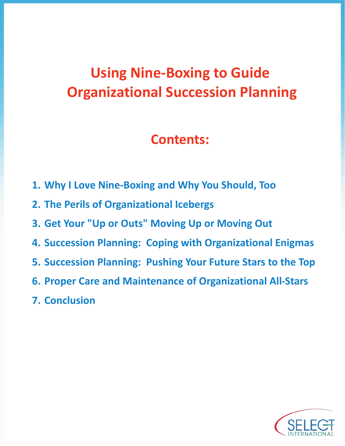# **Using Nine-Boxing to Guide Organizational Succession Planning**

## **Contents:**

- **1. Why I Love Nine-Boxing and Why You Should, Too**
- **2. The Perils of Organizational Icebergs**
- **3. Get Your "Up or Outs" Moving Up or Moving Out**
- **4. Succession Planning: Coping with Organizational Enigmas**
- **5. Succession Planning: Pushing Your Future Stars to the Top**
- **6. Proper Care and Maintenance of Organizational All-Stars**
- **7. Conclusion**

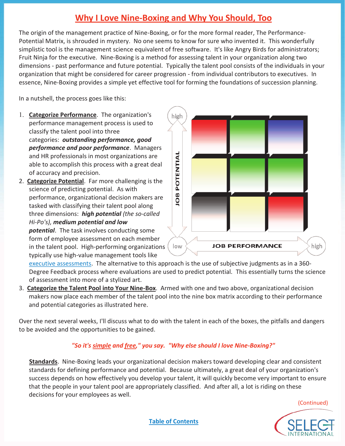## **Why I Love Nine-Boxing and Why You Should, Too**

The origin of the management practice of Nine-Boxing, or for the more formal reader, The Performance-Potential Matrix, is shrouded in mystery. No one seems to know for sure who invented it. This wonderfully simplistic tool is the management science equivalent of free software. It's like Angry Birds for administrators; Fruit Ninja for the executive. Nine-Boxing is a method for assessing talent in your organization along two dimensions - past performance and future potential. Typically the talent pool consists of the individuals in your organization that might be considered for career progression - from individual contributors to executives. In essence, Nine-Boxing provides a simple yet effective tool for forming the foundations of succession planning.

In a nutshell, the process goes like this:

- **Categorize Performance**. The organization's performance management process is used to classify the talent pool into three categories: *outstanding performance, good performance and poor performance*. Managers and HR professionals in most organizations are able to accomplish this process with a great deal of accuracy and precision.
- 2. **Categorize Potential**. Far more challenging is the science of predicting potential. As with performance, organizational decision makers are tasked with classifying their talent pool along three dimensions: *high potential (the so-called Hi-Po's), medium potential and low potential*. The task involves conducting some

form of employee assessment on each member in the talent pool. High-performing organizations typically use high-value management tools like



executive assessments. The alternative to this approach is the use of subjective judgments as in a 360- Degree Feedback process where evaluations are used to predict potential. This essentially turns the science of assessment into more of a stylized art.

3. **Categorize the Talent Pool into Your Nine-Box**. Armed with one and two above, organizational decision makers now place each member of the talent pool into the nine box matrix according to their performance and potential categories as illustrated here.

Over the next several weeks, I'll discuss what to do with the talent in each of the boxes, the pitfalls and dangers to be avoided and the opportunities to be gained.

#### *"So it's simple and free," you say. "Why else should I love Nine-Boxing?"*

**Standards**. Nine-Boxing leads your organizational decision makers toward developing clear and consistent standards for defining performance and potential. Because ultimately, a great deal of your organization's success depends on how effectively you develop your talent, it will quickly become very important to ensure that the people in your talent pool are appropriately classified. And after all, a lot is riding on these decisions for your employees as well.

(Continued)

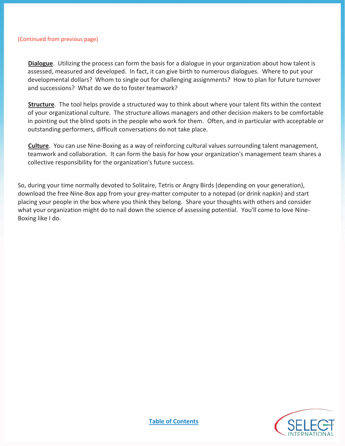#### (Continued from previous page)

**Dialogue**. Utilizing the process can form the basis for a dialogue in your organization about how talent is assessed, measured and developed. In fact, it can give birth to numerous dialogues. Where to put your developmental dollars? Whom to single out for challenging assignments? How to plan for future turnover and successions? What do we do to foster teamwork?

**Structure**. The tool helps provide a structured way to think about where your talent fits within the context of your organizational culture. The structure allows managers and other decision makers to be comfortable in pointing out the blind spots in the people who work for them. Often, and in particular with acceptable or outstanding performers, difficult conversations do not take place.

**Culture**. You can use Nine-Boxing as a way of reinforcing cultural values surrounding talent management, teamwork and collaboration. It can form the basis for how your organization's management team shares a collective responsibility for the organization's future success.

So, during your time normally devoted to Solitaire, Tetris or Angry Birds (depending on your generation), download the free Nine-Box app from your grey-matter computer to a notepad (or drink napkin) and start placing your people in the box where you think they belong. Share your thoughts with others and consider what your organization might do to nail down the science of assessing potential. You'll come to love Nine-Boxing like I do.

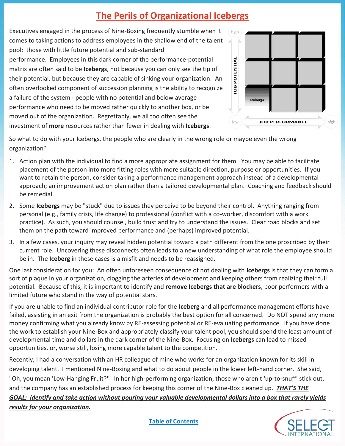## **The Perils of Organizational Icebergs**

Executives engaged in the process of Nine-Boxing frequently stumble when it comes to taking actions to address employees in the shallow end of the talent pool: those with little future potential and sub-standard performance. Employees in this dark corner of the performance-potential matrix are often said to be **Icebergs**, not because you can only see the tip of their potential, but because they are capable of sinking your organization. An often overlooked component of succession planning is the ability to recognize a failure of the system - people with no potential and below average performance who need to be moved rather quickly to another box, or be moved out of the organization. Regrettably, we all too often see the investment of **more** resources rather than fewer in dealing with **Icebergs**.



So what to do with your Icebergs, the people who are clearly in the wrong role or maybe even the wrong organization?

- 1. Action plan with the individual to find a more appropriate assignment for them. You may be able to facilitate placement of the person into more fitting roles with more suitable direction, purpose or opportunities. If you want to retain the person, consider taking a performance management approach instead of a developmental approach; an improvement action plan rather than a tailored developmental plan. Coaching and feedback should be remedial.
- 2. Some **Icebergs** may be "stuck" due to issues they perceive to be beyond their control. Anything ranging from personal (e.g., family crisis, life change) to professional (conflict with a co-worker, discomfort with a work practice). As such, you should counsel, build trust and try to understand the issues. Clear road blocks and set them on the path toward improved performance and (perhaps) improved potential.
- 3. In a few cases, your inquiry may reveal hidden potential toward a path different from the one proscribed by their current role. Uncovering these disconnects often leads to a new understanding of what role the employee should be in. The **Iceberg** in these cases is a misfit and needs to be reassigned.

One last consideration for you: An often unforeseen consequence of not dealing with **Icebergs** is that they can form a sort of plaque in your organization, clogging the arteries of development and keeping others from realizing their full potential. Because of this, it is important to identify and **remove Icebergs that are blockers**, poor performers with a limited future who stand in the way of potential stars.

If you are unable to find an individual contributor role for the **Iceberg** and all performance management efforts have failed, assisting in an exit from the organization is probably the best option for all concerned. Do NOT spend any more money confirming what you already know by RE-assessing potential or RE-evaluating performance. If you have done the work to establish your Nine-Box and appropriately classify your talent pool, you should spend the least amount of developmental time and dollars in the dark corner of the Nine-Box. Focusing on **Icebergs** can lead to missed opportunities, or, worse still, losing more capable talent to the competition.

Recently, I had a conversation with an HR colleague of mine who works for an organization known for its skill in developing talent. I mentioned Nine-Boxing and what to do about people in the lower left-hand corner. She said, "Oh, you mean 'Low-Hanging Fruit?'" In her high-performing organization, those who aren't 'up-to-snuff' stick out, and the company has an established process for keeping this corner of the Nine-Box cleaned up. *THAT'S THE GOAL: identify and take action without pouring your valuable developmental dollars into a box that rarely yields results for your organization.*

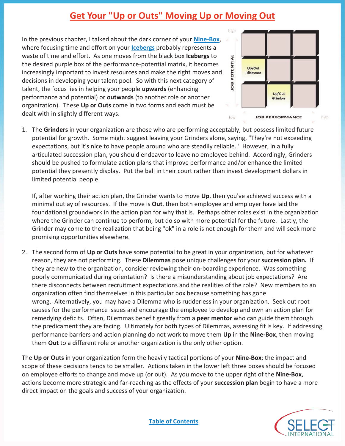## **Get Your "Up or Outs" Moving Up or Moving Out**

In the previous chapter, I talked about the dark corner of your **Nine-Box**, where focusing time and effort on your **Icebergs** probably represents a waste of time and effort. As one moves from the black box **Icebergs** to the desired purple box of the performance-potential matrix, it becomes increasingly important to invest resources and make the right moves and decisions in developing your talent pool. So with this next category of talent, the focus lies in helping your people **upwards** (enhancing performance and potential) or **outwards** (to another role or another organization). These **Up or Outs** come in two forms and each must be dealt with in slightly different ways.



1. The **Grinders** in your organization are those who are performing acceptably, but possess limited future potential for growth. Some might suggest leaving your Grinders alone, saying, "They're not exceeding expectations, but it's nice to have people around who are steadily reliable." However, in a fully articulated succession plan, you should endeavor to leave no employee behind. Accordingly, Grinders should be pushed to formulate action plans that improve performance and/or enhance the limited potential they presently display. Put the ball in their court rather than invest development dollars in limited potential people.

If, after working their action plan, the Grinder wants to move **Up**, then you've achieved success with a minimal outlay of resources. If the move is **Out**, then both employee and employer have laid the foundational groundwork in the action plan for why that is. Perhaps other roles exist in the organization where the Grinder can continue to perform, but do so with more potential for the future. Lastly, the Grinder may come to the realization that being "ok" in a role is not enough for them and will seek more promising opportunities elsewhere.

2. The second form of **Up or Outs** have some potential to be great in your organization, but for whatever reason, they are not performing. These **Dilemmas** pose unique challenges for your **succession plan.** If they are new to the organization, consider reviewing their on-boarding experience. Was something poorly communicated during orientation? Is there a misunderstanding about job expectations? Are there disconnects between recruitment expectations and the realities of the role? New members to an organization often find themselves in this particular box because something has gone wrong. Alternatively, you may have a Dilemma who is rudderless in your organization. Seek out root causes for the performance issues and encourage the employee to develop and own an action plan for remedying deficits. Often, Dilemmas benefit greatly from a **peer mentor** who can guide them through the predicament they are facing. Ultimately for both types of Dilemmas, assessing fit is key. If addressing performance barriers and action planning do not work to move them **Up** in the **Nine-Box**, then moving them **Out** to a different role or another organization is the only other option.

The **Up or Outs** in your organization form the heavily tactical portions of your **Nine-Box**; the impact and scope of these decisions tends to be smaller. Actions taken in the lower left three boxes should be focused on employee efforts to change and move up (or out). As you move to the upper right of the **Nine-Box**, actions become more strategic and far-reaching as the effects of your **succession plan** begin to have a more direct impact on the goals and success of your organization.

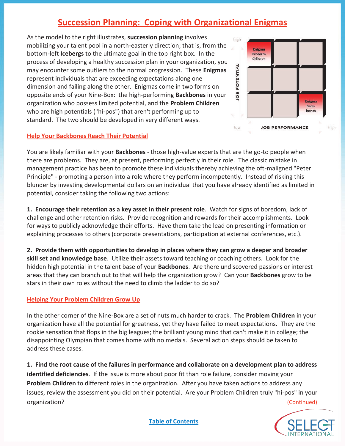### **Succession Planning: Coping with Organizational Enigmas**

As the model to the right illustrates, **succession planning** involves mobilizing your talent pool in a north-easterly direction; that is, from the bottom-left **Icebergs** to the ultimate goal in the top right box. In the process of developing a healthy succession plan in your organization, you may encounter some outliers to the normal progression. These **Enigmas** represent individuals that are exceeding expectations along one dimension and failing along the other. Enigmas come in two forms on opposite ends of your Nine-Box: the high-performing **Backbones** in your organization who possess limited potential, and the **Problem Children** who are high potentials ("hi-pos") that aren't performing up to standard. The two should be developed in very different ways.



You are likely familiar with your **Backbones** - those high-value experts that are the go-to people when there are problems. They are, at present, performing perfectly in their role. The classic mistake in management practice has been to promote these individuals thereby achieving the oft-maligned "Peter Principle" - promoting a person into a role where they perform incompetently. Instead of risking this blunder by investing developmental dollars on an individual that you have already identified as limited in potential, consider taking the following two actions:

**1. Encourage their retention as a key asset in their present role**. Watch for signs of boredom, lack of challenge and other retention risks. Provide recognition and rewards for their accomplishments. Look for ways to publicly acknowledge their efforts. Have them take the lead on presenting information or explaining processes to others (corporate presentations, participation at external conferences, etc.).

**2. Provide them with opportunities to develop in places where they can grow a deeper and broader skill set and knowledge base**. Utilize their assets toward teaching or coaching others. Look for the hidden high potential in the talent base of your **Backbones**. Are there undiscovered passions or interest areas that they can branch out to that will help the organization grow? Can your **Backbones** grow to be stars in their own roles without the need to climb the ladder to do so?

#### **Helping Your Problem Children Grow Up**

In the other corner of the Nine-Box are a set of nuts much harder to crack. The **Problem Children** in your organization have all the potential for greatness, yet they have failed to meet expectations. They are the rookie sensation that flops in the big leagues; the brilliant young mind that can't make it in college; the disappointing Olympian that comes home with no medals. Several action steps should be taken to address these cases.

**1. Find the root cause of the failures in performance and collaborate on a development plan to address identified deficiencies**. If the issue is more about poor fit than role failure, consider moving your **Problem Children** to different roles in the organization. After you have taken actions to address any issues, review the assessment you did on their potential. Are your Problem Children truly "hi-pos" in your organization? (Continued)



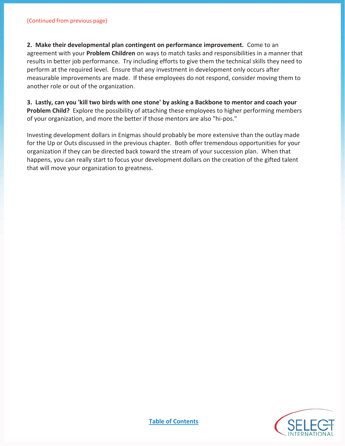**2. Make their developmental plan contingent on performance improvement.** Come to an agreement with your **Problem Children** on ways to match tasks and responsibilities in a manner that results in better job performance. Try including efforts to give them the technical skills they need to perform at the required level. Ensure that any investment in development only occurs after measurable improvements are made. If these employees do not respond, consider moving them to another role or out of the organization.

**3. Lastly, can you 'kill two birds with one stone' by asking a Backbone to mentor and coach your Problem Child?** Explore the possibility of attaching these employees to higher performing members of your organization, and more the better if those mentors are also "hi-pos."

Investing development dollars in Enigmas should probably be more extensive than the outlay made for the Up or Outs discussed in the previous chapter. Both offer tremendous opportunities for your organization if they can be directed back toward the stream of your succession plan. When that happens, you can really start to focus your development dollars on the creation of the gifted talent that will move your organization to greatness.

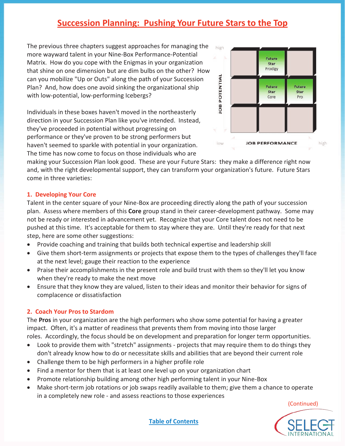### **Succession Planning: Pushing Your Future Stars to the Top**

The previous three chapters suggest approaches for managing the more wayward talent in your Nine-Box Performance-Potential Matrix. How do you cope with the Enigmas in your organization that shine on one dimension but are dim bulbs on the other? How can you mobilize "Up or Outs" along the path of your Succession Plan? And, how does one avoid sinking the organizational ship with low-potential, low-performing Icebergs?

Individuals in these boxes haven't moved in the northeasterly direction in your Succession Plan like you've intended. Instead, they've proceeded in potential without progressing on performance or they've proven to be strong performers but haven't seemed to sparkle with potential in your organization. The time has now come to focus on those individuals who are



making your Succession Plan look good. These are your Future Stars: they make a difference right now and, with the right developmental support, they can transform your organization's future. Future Stars come in three varieties:

#### **1. Developing Your Core**

Talent in the center square of your Nine-Box are proceeding directly along the path of your succession plan. Assess where members of this **Core** group stand in their career-development pathway. Some may not be ready or interested in advancement yet. Recognize that your Core talent does not need to be pushed at this time. It's acceptable for them to stay where they are. Until they're ready for that next step, here are some other suggestions:

- Provide coaching and training that builds both technical expertise and leadership skill
- Give them short-term assignments or projects that expose them to the types of challenges they'll face at the next level; gauge their reaction to the experience
- Praise their accomplishments in the present role and build trust with them so they'll let you know when they're ready to make the next move
- Ensure that they know they are valued, listen to their ideas and monitor their behavior for signs of complacence or dissatisfaction

#### **2. Coach Your Pros to Stardom**

The **Pros** in your organization are the high performers who show some potential for having a greater impact. Often, it's a matter of readiness that prevents them from moving into those larger roles. Accordingly, the focus should be on development and preparation for longer term opportunities.

- Look to provide them with "stretch" assignments projects that may require them to do things they don't already know how to do or necessitate skills and abilities that are beyond their current role
- Challenge them to be high performers in a higher profile role
- Find a mentor for them that is at least one level up on your organization chart
- Promote relationship building among other high performing talent in your Nine-Box
- Make short-term job rotations or job swaps readily available to them; give them a chance to operate in a completely new role - and assess reactions to those experiences

(Continued)

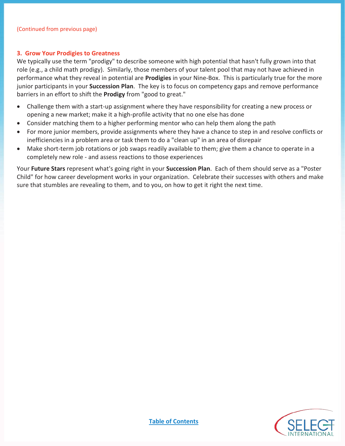#### **3. Grow Your Prodigies to Greatness**

We typically use the term "prodigy" to describe someone with high potential that hasn't fully grown into that role (e.g., a child math prodigy). Similarly, those members of your talent pool that may not have achieved in performance what they reveal in potential are **Prodigies** in your Nine-Box. This is particularly true for the more junior participants in your **Succession Plan**. The key is to focus on competency gaps and remove performance barriers in an effort to shift the **Prodigy** from "good to great."

- Challenge them with a start-up assignment where they have responsibility for creating a new process or opening a new market; make it a high-profile activity that no one else has done
- Consider matching them to a higher performing mentor who can help them along the path
- For more junior members, provide assignments where they have a chance to step in and resolve conflicts or inefficiencies in a problem area or task them to do a "clean up" in an area of disrepair
- Make short-term job rotations or job swaps readily available to them; give them a chance to operate in a completely new role - and assess reactions to those experiences

Your **Future Stars** represent what's going right in your **Succession Plan**. Each of them should serve as a "Poster Child" for how career development works in your organization. Celebrate their successes with others and make sure that stumbles are revealing to them, and to you, on how to get it right the next time.

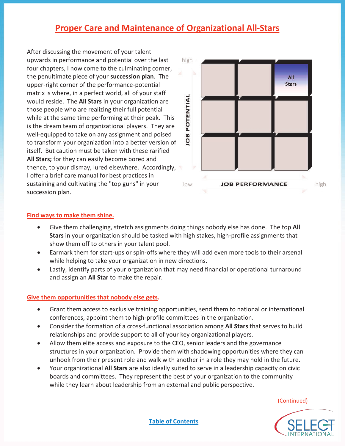### **Proper Care and Maintenance of Organizational All-Stars**

After discussing the movement of your talent upwards in performance and potential over the last four chapters, I now come to the culminating corner, the penultimate piece of your **succession plan**. The upper-right corner of the performance-potential matrix is where, in a perfect world, all of your staff would reside. The **All Stars** in your organization are those people who are realizing their full potential while at the same time performing at their peak. This is the dream team of organizational players. They are well-equipped to take on any assignment and poised to transform your organization into a better version of itself. But caution must be taken with these rarified **All Stars;** for they can easily become bored and thence, to your dismay, lured elsewhere. Accordingly, I offer a brief care manual for best practices in sustaining and cultivating the "top guns" in your succession plan.



#### **Find ways to make them shine.**

- x Give them challenging, stretch assignments doing things nobody else has done. The top **All Stars** in your organization should be tasked with high stakes, high-profile assignments that show them off to others in your talent pool.
- Earmark them for start-ups or spin-offs where they will add even more tools to their arsenal while helping to take your organization in new directions.
- Lastly, identify parts of your organization that may need financial or operational turnaround and assign an **All Star** to make the repair.

#### **Give them opportunities that nobody else gets.**

- Grant them access to exclusive training opportunities, send them to national or international conferences, appoint them to high-profile committees in the organization.
- x Consider the formation of a cross-functional association among **All Stars** that serves to build relationships and provide support to all of your key organizational players.
- Allow them elite access and exposure to the CEO, senior leaders and the governance structures in your organization. Provide them with shadowing opportunities where they can unhook from their present role and walk with another in a role they may hold in the future.
- x Your organizational **All Stars** are also ideally suited to serve in a leadership capacity on civic boards and committees. They represent the best of your organization to the community while they learn about leadership from an external and public perspective.

(Continued)

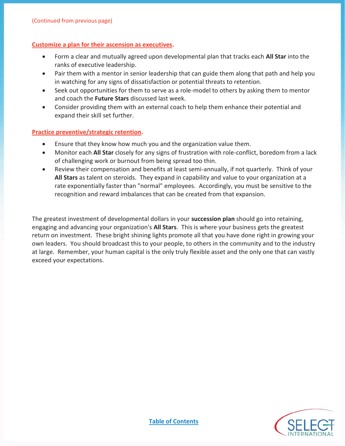#### **Customize a plan for their ascension as executives.**

- x Form a clear and mutually agreed upon developmental plan that tracks each **All Star** into the ranks of executive leadership.
- Pair them with a mentor in senior leadership that can guide them along that path and help you in watching for any signs of dissatisfaction or potential threats to retention.
- Seek out opportunities for them to serve as a role-model to others by asking them to mentor and coach the **Future Stars** discussed last week.
- Consider providing them with an external coach to help them enhance their potential and expand their skill set further.

#### **Practice preventive/strategic retention.**

- Ensure that they know how much you and the organization value them.
- **•** Monitor each **All Star** closely for any signs of frustration with role-conflict, boredom from a lack of challenging work or burnout from being spread too thin.
- Review their compensation and benefits at least semi-annually, if not quarterly. Think of your **All Stars** as talent on steroids. They expand in capability and value to your organization at a rate exponentially faster than "normal" employees. Accordingly, you must be sensitive to the recognition and reward imbalances that can be created from that expansion.

The greatest investment of developmental dollars in your **succession plan** should go into retaining, engaging and advancing your organization's **All Stars**. This is where your business gets the greatest return on investment. These bright shining lights promote all that you have done right in growing your own leaders. You should broadcast this to your people, to others in the community and to the industry at large. Remember, your human capital is the only truly flexible asset and the only one that can vastly exceed your expectations.